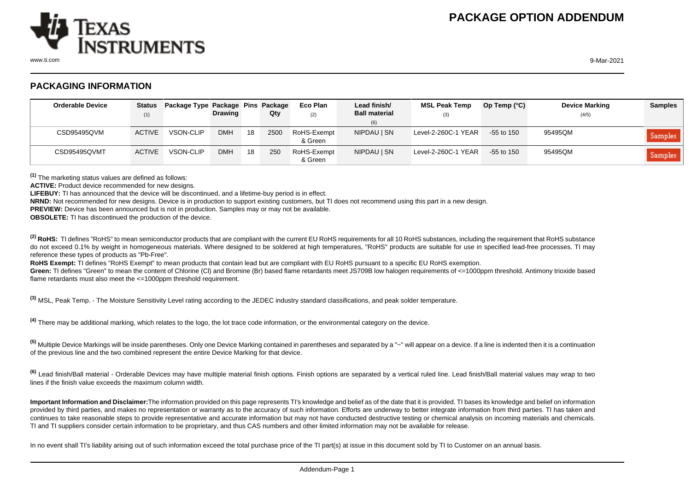

www.ti.com 9-Mar-2021

## **PACKAGING INFORMATION**

| <b>Orderable Device</b> | Status<br>(1) | Package Type Package Pins Package | <b>Drawing</b> |    | Qty  | Eco Plan<br>(2)        | Lead finish/<br><b>Ball material</b><br>(6) | <b>MSL Peak Temp</b><br>(3) | Op Temp $(^{\circ}C)$ | <b>Device Marking</b><br>(4/5) | <b>Samples</b> |
|-------------------------|---------------|-----------------------------------|----------------|----|------|------------------------|---------------------------------------------|-----------------------------|-----------------------|--------------------------------|----------------|
| CSD95495QVM             | <b>ACTIVE</b> | <b>VSON-CLIP</b>                  | <b>DMH</b>     | 18 | 2500 | RoHS-Exempt<br>& Green | NIPDAU   SN                                 | Level-2-260C-1 YEAR         | $-55$ to 150          | 95495QM                        | Samples        |
| CSD95495QVMT            | <b>ACTIVE</b> | <b>VSON-CLIP</b>                  | <b>DMH</b>     | 18 | 250  | RoHS-Exempt<br>& Green | NIPDAU   SN                                 | Level-2-260C-1 YEAR         | $-55$ to 150          | 95495QM                        | Samples        |

**(1)** The marketing status values are defined as follows:

ACTIVE: Product device recommended for new designs.

**LIFEBUY:** TI has announced that the device will be discontinued, and a lifetime-buy period is in effect.

**NRND:** Not recommended for new designs. Device is in production to support existing customers, but TI does not recommend using this part in a new design.

**PREVIEW:** Device has been announced but is not in production. Samples may or may not be available.

**OBSOLETE:** TI has discontinued the production of the device.

<sup>(2)</sup> RoHS: TI defines "RoHS" to mean semiconductor products that are compliant with the current EU RoHS requirements for all 10 RoHS substances, including the requirement that RoHS substance do not exceed 0.1% by weight in homogeneous materials. Where designed to be soldered at high temperatures, "RoHS" products are suitable for use in specified lead-free processes. TI may reference these types of products as "Pb-Free".

RoHS Exempt: TI defines "RoHS Exempt" to mean products that contain lead but are compliant with EU RoHS pursuant to a specific EU RoHS exemption.

Green: TI defines "Green" to mean the content of Chlorine (CI) and Bromine (Br) based flame retardants meet JS709B low halogen requirements of <=1000ppm threshold. Antimony trioxide based flame retardants must also meet the <=1000ppm threshold requirement.

**(3)** MSL, Peak Temp. - The Moisture Sensitivity Level rating according to the JEDEC industry standard classifications, and peak solder temperature.

**(4)** There may be additional marking, which relates to the logo, the lot trace code information, or the environmental category on the device.

**(5)** Multiple Device Markings will be inside parentheses. Only one Device Marking contained in parentheses and separated by a "~" will appear on a device. If a line is indented then it is a continuation of the previous line and the two combined represent the entire Device Marking for that device.

**(6)** Lead finish/Ball material - Orderable Devices may have multiple material finish options. Finish options are separated by a vertical ruled line. Lead finish/Ball material values may wrap to two lines if the finish value exceeds the maximum column width.

**Important Information and Disclaimer:**The information provided on this page represents TI's knowledge and belief as of the date that it is provided. TI bases its knowledge and belief on information provided by third parties, and makes no representation or warranty as to the accuracy of such information. Efforts are underway to better integrate information from third parties. TI has taken and continues to take reasonable steps to provide representative and accurate information but may not have conducted destructive testing or chemical analysis on incoming materials and chemicals. TI and TI suppliers consider certain information to be proprietary, and thus CAS numbers and other limited information may not be available for release.

In no event shall TI's liability arising out of such information exceed the total purchase price of the TI part(s) at issue in this document sold by TI to Customer on an annual basis.